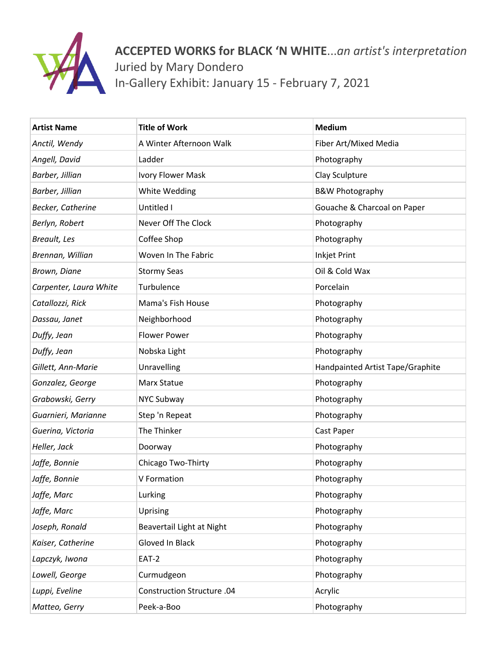

**ACCEPTED WORKS for BLACK 'N WHITE**...*an artist's interpretation* Juried by Mary Dondero In-Gallery Exhibit: January 15 - February 7, 2021

| <b>Artist Name</b>     | <b>Title of Work</b>       | <b>Medium</b>                    |
|------------------------|----------------------------|----------------------------------|
| Anctil, Wendy          | A Winter Afternoon Walk    | Fiber Art/Mixed Media            |
| Angell, David          | Ladder                     | Photography                      |
| Barber, Jillian        | Ivory Flower Mask          | Clay Sculpture                   |
| Barber, Jillian        | White Wedding              | <b>B&amp;W Photography</b>       |
| Becker, Catherine      | Untitled I                 | Gouache & Charcoal on Paper      |
| Berlyn, Robert         | Never Off The Clock        | Photography                      |
| Breault, Les           | Coffee Shop                | Photography                      |
| Brennan, Willian       | Woven In The Fabric        | <b>Inkjet Print</b>              |
| Brown, Diane           | <b>Stormy Seas</b>         | Oil & Cold Wax                   |
| Carpenter, Laura White | <b>Turbulence</b>          | Porcelain                        |
| Catallozzi, Rick       | Mama's Fish House          | Photography                      |
| Dassau, Janet          | Neighborhood               | Photography                      |
| Duffy, Jean            | <b>Flower Power</b>        | Photography                      |
| Duffy, Jean            | Nobska Light               | Photography                      |
| Gillett, Ann-Marie     | Unravelling                | Handpainted Artist Tape/Graphite |
| Gonzalez, George       | Marx Statue                | Photography                      |
| Grabowski, Gerry       | <b>NYC Subway</b>          | Photography                      |
| Guarnieri, Marianne    | Step 'n Repeat             | Photography                      |
| Guerina, Victoria      | The Thinker                | Cast Paper                       |
| Heller, Jack           | Doorway                    | Photography                      |
| Jaffe, Bonnie          | Chicago Two-Thirty         | Photography                      |
| Jaffe, Bonnie          | V Formation                | Photography                      |
| Jaffe, Marc            | Lurking                    | Photography                      |
| Jaffe, Marc            | Uprising                   | Photography                      |
| Joseph, Ronald         | Beavertail Light at Night  | Photography                      |
| Kaiser, Catherine      | Gloved In Black            | Photography                      |
| Lapczyk, Iwona         | EAT-2                      | Photography                      |
| Lowell, George         | Curmudgeon                 | Photography                      |
| Luppi, Eveline         | Construction Structure .04 | Acrylic                          |
| Matteo, Gerry          | Peek-a-Boo                 | Photography                      |